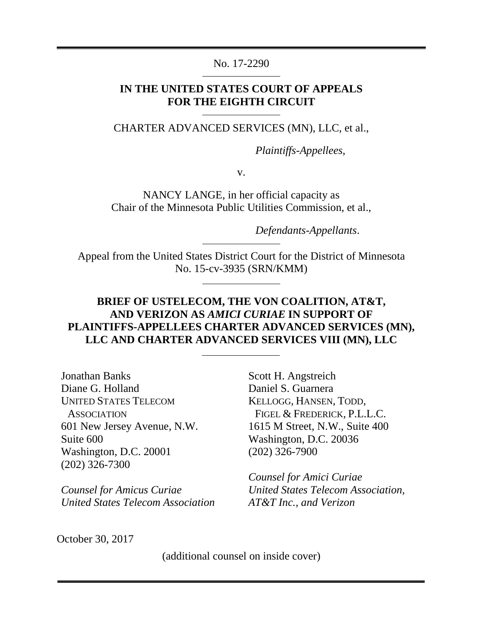## No. 17-2290

## **IN THE UNITED STATES COURT OF APPEALS FOR THE EIGHTH CIRCUIT**

CHARTER ADVANCED SERVICES (MN), LLC, et al.,

*Plaintiffs-Appellees*,

v.

NANCY LANGE, in her official capacity as Chair of the Minnesota Public Utilities Commission, et al.,

*Defendants-Appellants*.

Appeal from the United States District Court for the District of Minnesota No. 15-cv-3935 (SRN/KMM)

## **BRIEF OF USTELECOM, THE VON COALITION, AT&T, AND VERIZON AS** *AMICI CURIAE* **IN SUPPORT OF PLAINTIFFS-APPELLEES CHARTER ADVANCED SERVICES (MN), LLC AND CHARTER ADVANCED SERVICES VIII (MN), LLC**

Jonathan Banks Diane G. Holland UNITED STATES TELECOM **ASSOCIATION** 601 New Jersey Avenue, N.W. Suite 600 Washington, D.C. 20001 (202) 326-7300

*Counsel for Amicus Curiae United States Telecom Association* Scott H. Angstreich Daniel S. Guarnera KELLOGG, HANSEN, TODD, FIGEL & FREDERICK, P.L.L.C. 1615 M Street, N.W., Suite 400 Washington, D.C. 20036 (202) 326-7900

*Counsel for Amici Curiae United States Telecom Association, AT&T Inc., and Verizon*

October 30, 2017

(additional counsel on inside cover)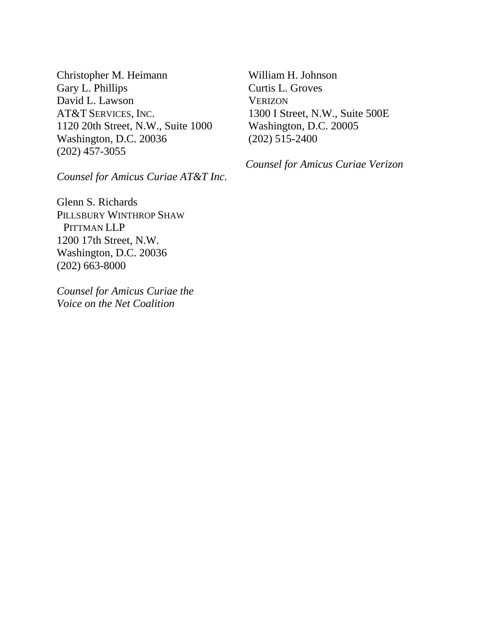Christopher M. Heimann Gary L. Phillips David L. Lawson AT&T SERVICES, INC. 1120 20th Street, N.W., Suite 1000 Washington, D.C. 20036 (202) 457-3055

*Counsel for Amicus Curiae AT&T Inc.*

Glenn S. Richards PILLSBURY WINTHROP SHAW PITTMAN LLP 1200 17th Street, N.W. Washington, D.C. 20036 (202) 663-8000

*Counsel for Amicus Curiae the Voice on the Net Coalition*

William H. Johnson Curtis L. Groves **VERIZON** 1300 I Street, N.W., Suite 500E Washington, D.C. 20005 (202) 515-2400

*Counsel for Amicus Curiae Verizon*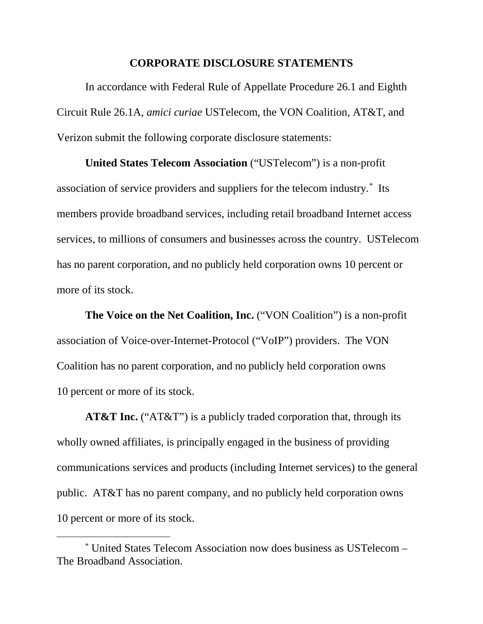### **CORPORATE DISCLOSURE STATEMENTS**

<span id="page-2-1"></span>In accordance with Federal Rule of Appellate Procedure 26.1 and Eighth Circuit Rule 26.1A, *amici curiae* USTelecom, the VON Coalition, AT&T, and Verizon submit the following corporate disclosure statements:

**United States Telecom Association** ("USTelecom") is a non-profit association of service providers and suppliers for the telecom industry.[\\*](#page-2-0) Its members provide broadband services, including retail broadband Internet access services, to millions of consumers and businesses across the country. USTelecom has no parent corporation, and no publicly held corporation owns 10 percent or more of its stock.

**The Voice on the Net Coalition, Inc.** ("VON Coalition") is a non-profit association of Voice-over-Internet-Protocol ("VoIP") providers. The VON Coalition has no parent corporation, and no publicly held corporation owns 10 percent or more of its stock.

**AT&T Inc.** ("AT&T") is a publicly traded corporation that, through its wholly owned affiliates, is principally engaged in the business of providing communications services and products (including Internet services) to the general public. AT&T has no parent company, and no publicly held corporation owns 10 percent or more of its stock.

<span id="page-2-0"></span> <sup>\*</sup> United States Telecom Association now does business as USTelecom – The Broadband Association.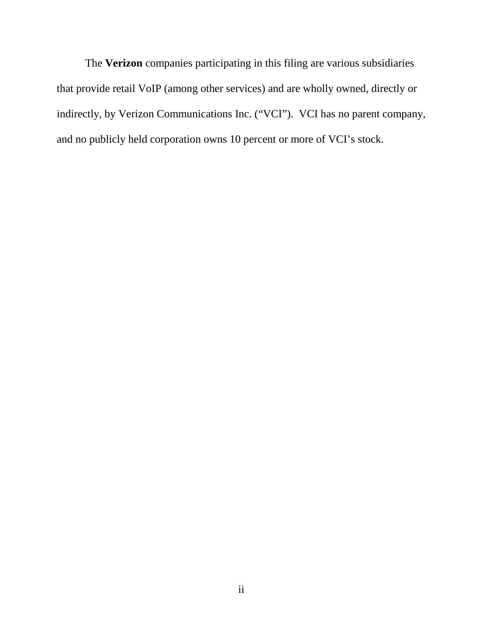The **Verizon** companies participating in this filing are various subsidiaries that provide retail VoIP (among other services) and are wholly owned, directly or indirectly, by Verizon Communications Inc. ("VCI"). VCI has no parent company, and no publicly held corporation owns 10 percent or more of VCI's stock.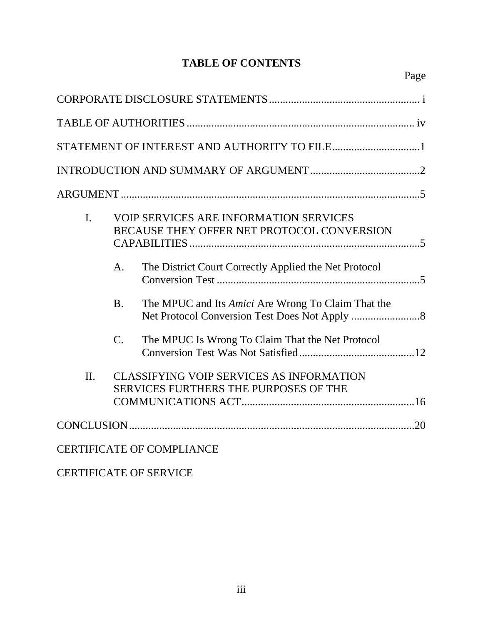# **TABLE OF CONTENTS**

| STATEMENT OF INTEREST AND AUTHORITY TO FILE1 |                 |                                                                                                 |  |  |
|----------------------------------------------|-----------------|-------------------------------------------------------------------------------------------------|--|--|
|                                              |                 |                                                                                                 |  |  |
|                                              |                 |                                                                                                 |  |  |
| $\mathbf{I}$ .                               |                 | <b>VOIP SERVICES ARE INFORMATION SERVICES</b><br>BECAUSE THEY OFFER NET PROTOCOL CONVERSION     |  |  |
|                                              | A.              | The District Court Correctly Applied the Net Protocol                                           |  |  |
|                                              | <b>B.</b>       | The MPUC and Its Amici Are Wrong To Claim That the                                              |  |  |
|                                              | $\mathcal{C}$ . | The MPUC Is Wrong To Claim That the Net Protocol                                                |  |  |
| $\Pi$ .                                      |                 | <b>CLASSIFYING VOIP SERVICES AS INFORMATION</b><br><b>SERVICES FURTHERS THE PURPOSES OF THE</b> |  |  |
|                                              |                 |                                                                                                 |  |  |
|                                              |                 | <b>CERTIFICATE OF COMPLIANCE</b>                                                                |  |  |

CERTIFICATE OF SERVICE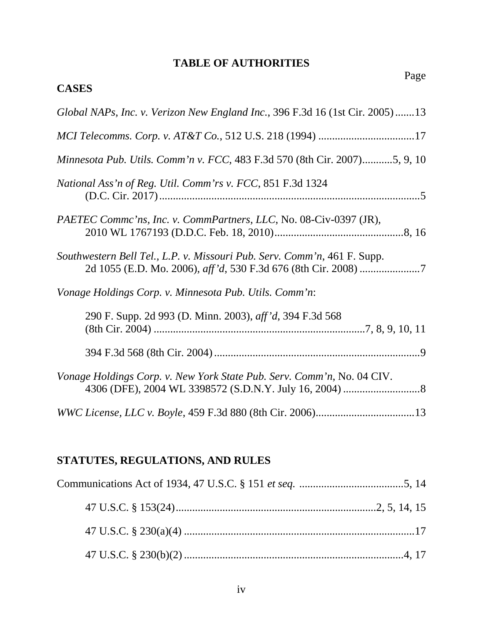# **TABLE OF AUTHORITIES**

<span id="page-5-0"></span>

| Page<br><b>CASES</b>                                                         |
|------------------------------------------------------------------------------|
| Global NAPs, Inc. v. Verizon New England Inc., 396 F.3d 16 (1st Cir. 2005)13 |
|                                                                              |
| Minnesota Pub. Utils. Comm'n v. FCC, 483 F.3d 570 (8th Cir. 2007)5, 9, 10    |
| National Ass'n of Reg. Util. Comm'rs v. FCC, 851 F.3d 1324                   |
| PAETEC Commc'ns, Inc. v. CommPartners, LLC, No. 08-Civ-0397 (JR),            |
| Southwestern Bell Tel., L.P. v. Missouri Pub. Serv. Comm'n, 461 F. Supp.     |
| Vonage Holdings Corp. v. Minnesota Pub. Utils. Comm'n:                       |
| 290 F. Supp. 2d 993 (D. Minn. 2003), aff'd, 394 F.3d 568                     |
|                                                                              |
| Vonage Holdings Corp. v. New York State Pub. Serv. Comm'n, No. 04 CIV.       |
|                                                                              |

# **STATUTES, REGULATIONS, AND RULES**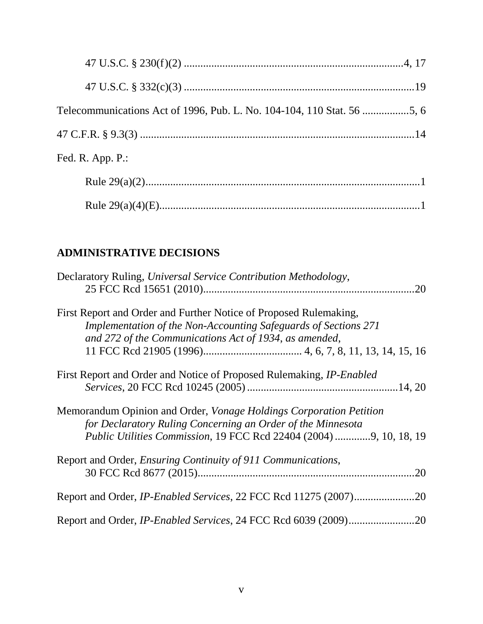| Fed. R. App. P.: |  |
|------------------|--|
|                  |  |
|                  |  |

# **ADMINISTRATIVE DECISIONS**

| Declaratory Ruling, Universal Service Contribution Methodology,             |
|-----------------------------------------------------------------------------|
| .20                                                                         |
| First Report and Order and Further Notice of Proposed Rulemaking,           |
| Implementation of the Non-Accounting Safeguards of Sections 271             |
| and 272 of the Communications Act of 1934, as amended,                      |
|                                                                             |
| First Report and Order and Notice of Proposed Rulemaking, <i>IP-Enabled</i> |
|                                                                             |
| Memorandum Opinion and Order, <i>Vonage Holdings Corporation Petition</i>   |
| for Declaratory Ruling Concerning an Order of the Minnesota                 |
| <i>Public Utilities Commission, 19 FCC Rcd 22404 (2004) 9, 10, 18, 19</i>   |
| Report and Order, <i>Ensuring Continuity of 911 Communications</i> ,        |
| 20                                                                          |
|                                                                             |
|                                                                             |
|                                                                             |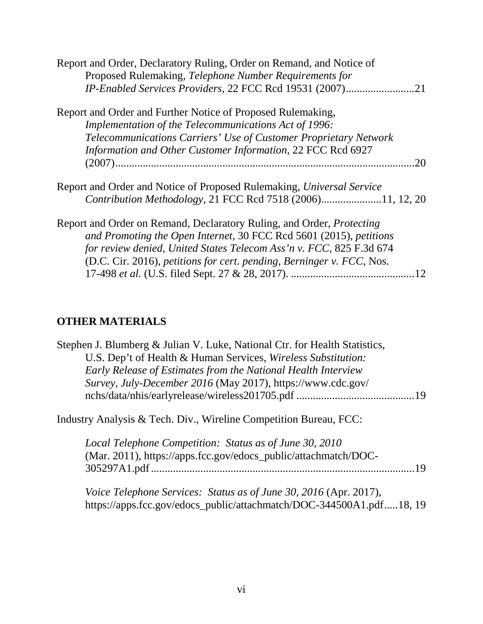| Report and Order, Declaratory Ruling, Order on Remand, and Notice of         |
|------------------------------------------------------------------------------|
| Proposed Rulemaking, Telephone Number Requirements for                       |
| IP-Enabled Services Providers, 22 FCC Rcd 19531 (2007)<br>.21                |
| Report and Order and Further Notice of Proposed Rulemaking,                  |
| Implementation of the Telecommunications Act of 1996:                        |
| Telecommunications Carriers' Use of Customer Proprietary Network             |
| Information and Other Customer Information, 22 FCC Rcd 6927                  |
| 20                                                                           |
| Report and Order and Notice of Proposed Rulemaking, Universal Service        |
| Contribution Methodology, 21 FCC Rcd 7518 (2006)11, 12, 20                   |
| Report and Order on Remand, Declaratory Ruling, and Order, <i>Protecting</i> |
| and Promoting the Open Internet, 30 FCC Rcd 5601 (2015), petitions           |
| for review denied, United States Telecom Ass'n v. FCC, 825 F.3d 674          |
| (D.C. Cir. 2016), petitions for cert. pending, Berninger v. FCC, Nos.        |
|                                                                              |

# **OTHER MATERIALS**

| Stephen J. Blumberg & Julian V. Luke, National Ctr. for Health Statistics, |    |
|----------------------------------------------------------------------------|----|
| U.S. Dep't of Health & Human Services, Wireless Substitution:              |    |
| Early Release of Estimates from the National Health Interview              |    |
| Survey, July-December 2016 (May 2017), https://www.cdc.gov/                |    |
|                                                                            |    |
| Industry Analysis & Tech. Div., Wireline Competition Bureau, FCC:          |    |
| Local Telephone Competition: Status as of June 30, 2010                    |    |
| (Mar. 2011), https://apps.fcc.gov/edocs_public/attachmatch/DOC-            |    |
|                                                                            | 19 |
| Voice Telephone Services: Status as of June 30, 2016 (Apr. 2017),          |    |
| https://apps.fcc.gov/edocs_public/attachmatch/DOC-344500A1.pdf18, 19       |    |
|                                                                            |    |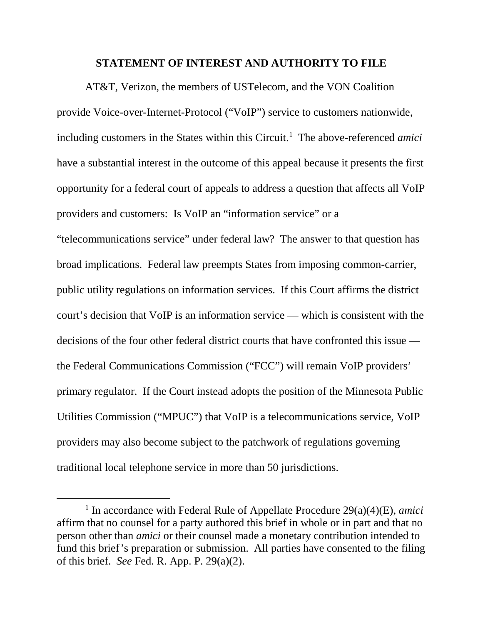### **STATEMENT OF INTEREST AND AUTHORITY TO FILE**

<span id="page-8-0"></span>AT&T, Verizon, the members of USTelecom, and the VON Coalition provide Voice-over-Internet-Protocol ("VoIP") service to customers nationwide, including customers in the States within this Circuit.<sup>[1](#page-8-1)</sup> The above-referenced *amici* have a substantial interest in the outcome of this appeal because it presents the first opportunity for a federal court of appeals to address a question that affects all VoIP providers and customers: Is VoIP an "information service" or a "telecommunications service" under federal law? The answer to that question has broad implications. Federal law preempts States from imposing common-carrier, public utility regulations on information services. If this Court affirms the district court's decision that VoIP is an information service — which is consistent with the decisions of the four other federal district courts that have confronted this issue the Federal Communications Commission ("FCC") will remain VoIP providers' primary regulator. If the Court instead adopts the position of the Minnesota Public Utilities Commission ("MPUC") that VoIP is a telecommunications service, VoIP providers may also become subject to the patchwork of regulations governing traditional local telephone service in more than 50 jurisdictions.

<span id="page-8-1"></span> <sup>1</sup> In accordance with Federal Rule of Appellate Procedure 29(a)(4)(E), *amici* affirm that no counsel for a party authored this brief in whole or in part and that no person other than *amici* or their counsel made a monetary contribution intended to fund this brief's preparation or submission. All parties have consented to the filing of this brief. *See* Fed. R. App. P. 29(a)(2).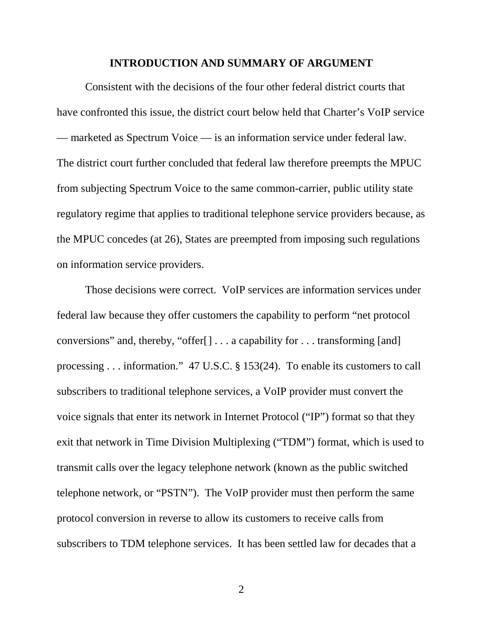### **INTRODUCTION AND SUMMARY OF ARGUMENT**

<span id="page-9-0"></span>Consistent with the decisions of the four other federal district courts that have confronted this issue, the district court below held that Charter's VoIP service — marketed as Spectrum Voice — is an information service under federal law. The district court further concluded that federal law therefore preempts the MPUC from subjecting Spectrum Voice to the same common-carrier, public utility state regulatory regime that applies to traditional telephone service providers because, as the MPUC concedes (at 26), States are preempted from imposing such regulations on information service providers.

Those decisions were correct. VoIP services are information services under federal law because they offer customers the capability to perform "net protocol conversions" and, thereby, "offer[] . . . a capability for . . . transforming [and] processing . . . information." 47 U.S.C. § 153(24). To enable its customers to call subscribers to traditional telephone services, a VoIP provider must convert the voice signals that enter its network in Internet Protocol ("IP") format so that they exit that network in Time Division Multiplexing ("TDM") format, which is used to transmit calls over the legacy telephone network (known as the public switched telephone network, or "PSTN"). The VoIP provider must then perform the same protocol conversion in reverse to allow its customers to receive calls from subscribers to TDM telephone services. It has been settled law for decades that a

2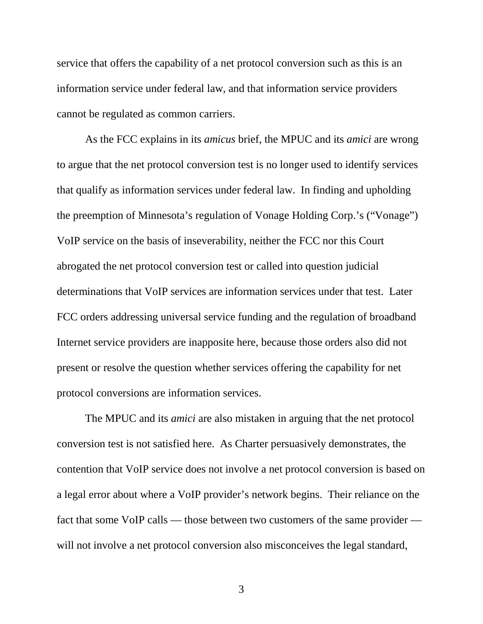service that offers the capability of a net protocol conversion such as this is an information service under federal law, and that information service providers cannot be regulated as common carriers.

As the FCC explains in its *amicus* brief, the MPUC and its *amici* are wrong to argue that the net protocol conversion test is no longer used to identify services that qualify as information services under federal law. In finding and upholding the preemption of Minnesota's regulation of Vonage Holding Corp.'s ("Vonage") VoIP service on the basis of inseverability, neither the FCC nor this Court abrogated the net protocol conversion test or called into question judicial determinations that VoIP services are information services under that test. Later FCC orders addressing universal service funding and the regulation of broadband Internet service providers are inapposite here, because those orders also did not present or resolve the question whether services offering the capability for net protocol conversions are information services.

The MPUC and its *amici* are also mistaken in arguing that the net protocol conversion test is not satisfied here. As Charter persuasively demonstrates, the contention that VoIP service does not involve a net protocol conversion is based on a legal error about where a VoIP provider's network begins. Their reliance on the fact that some VoIP calls — those between two customers of the same provider will not involve a net protocol conversion also misconceives the legal standard,

3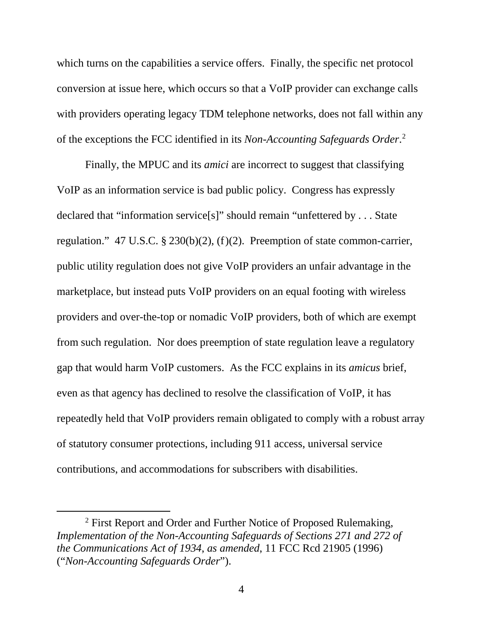which turns on the capabilities a service offers. Finally, the specific net protocol conversion at issue here, which occurs so that a VoIP provider can exchange calls with providers operating legacy TDM telephone networks, does not fall within any of the exceptions the FCC identified in its *Non-Accounting Safeguards Order*. [2](#page-11-0)

Finally, the MPUC and its *amici* are incorrect to suggest that classifying VoIP as an information service is bad public policy. Congress has expressly declared that "information service[s]" should remain "unfettered by . . . State regulation." 47 U.S.C. § 230(b)(2), (f)(2). Preemption of state common-carrier, public utility regulation does not give VoIP providers an unfair advantage in the marketplace, but instead puts VoIP providers on an equal footing with wireless providers and over-the-top or nomadic VoIP providers, both of which are exempt from such regulation. Nor does preemption of state regulation leave a regulatory gap that would harm VoIP customers. As the FCC explains in its *amicus* brief, even as that agency has declined to resolve the classification of VoIP, it has repeatedly held that VoIP providers remain obligated to comply with a robust array of statutory consumer protections, including 911 access, universal service contributions, and accommodations for subscribers with disabilities.

<span id="page-11-0"></span> <sup>2</sup> First Report and Order and Further Notice of Proposed Rulemaking, *Implementation of the Non-Accounting Safeguards of Sections 271 and 272 of the Communications Act of 1934*, *as amended*, 11 FCC Rcd 21905 (1996) ("*Non-Accounting Safeguards Order*").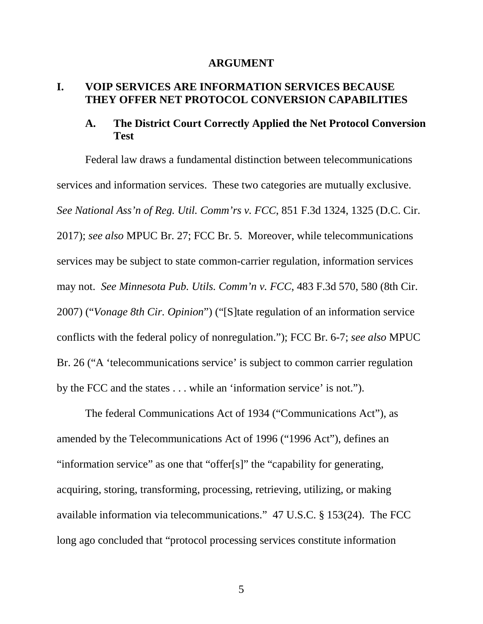#### **ARGUMENT**

## <span id="page-12-1"></span><span id="page-12-0"></span>**I. VOIP SERVICES ARE INFORMATION SERVICES BECAUSE THEY OFFER NET PROTOCOL CONVERSION CAPABILITIES**

## <span id="page-12-2"></span>**A. The District Court Correctly Applied the Net Protocol Conversion Test**

Federal law draws a fundamental distinction between telecommunications services and information services. These two categories are mutually exclusive. *See National Ass'n of Reg. Util. Comm'rs v. FCC*, 851 F.3d 1324, 1325 (D.C. Cir. 2017); *see also* MPUC Br. 27; FCC Br. 5. Moreover, while telecommunications services may be subject to state common-carrier regulation, information services may not. *See Minnesota Pub. Utils. Comm'n v. FCC*, 483 F.3d 570, 580 (8th Cir. 2007) ("*Vonage 8th Cir. Opinion*") ("[S]tate regulation of an information service conflicts with the federal policy of nonregulation."); FCC Br. 6-7; *see also* MPUC Br. 26 ("A 'telecommunications service' is subject to common carrier regulation by the FCC and the states . . . while an 'information service' is not.").

The federal Communications Act of 1934 ("Communications Act"), as amended by the Telecommunications Act of 1996 ("1996 Act"), defines an "information service" as one that "offer[s]" the "capability for generating, acquiring, storing, transforming, processing, retrieving, utilizing, or making available information via telecommunications." 47 U.S.C. § 153(24). The FCC long ago concluded that "protocol processing services constitute information

5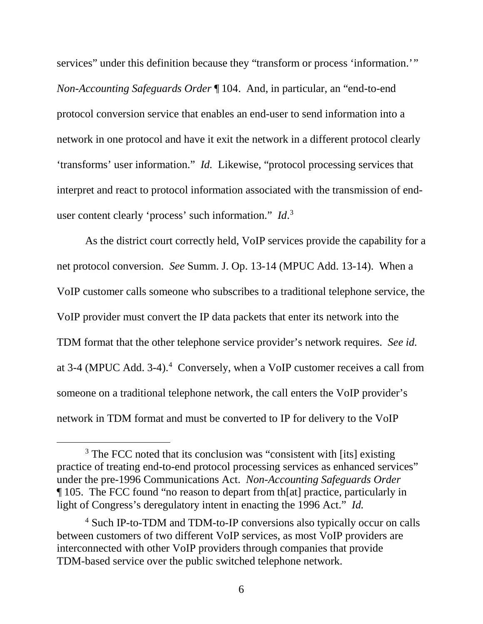services" under this definition because they "transform or process 'information." *Non-Accounting Safeguards Order* ¶ 104. And, in particular, an "end-to-end protocol conversion service that enables an end-user to send information into a network in one protocol and have it exit the network in a different protocol clearly 'transforms' user information." *Id.* Likewise, "protocol processing services that interpret and react to protocol information associated with the transmission of enduser content clearly 'process' such information." *Id*. [3](#page-13-0)

As the district court correctly held, VoIP services provide the capability for a net protocol conversion. *See* Summ. J. Op. 13-14 (MPUC Add. 13-14). When a VoIP customer calls someone who subscribes to a traditional telephone service, the VoIP provider must convert the IP data packets that enter its network into the TDM format that the other telephone service provider's network requires. *See id.*  at 3-4 (MPUC Add. 3-4). [4](#page-13-1) Conversely, when a VoIP customer receives a call from someone on a traditional telephone network, the call enters the VoIP provider's network in TDM format and must be converted to IP for delivery to the VoIP

<span id="page-13-0"></span><sup>&</sup>lt;sup>3</sup> The FCC noted that its conclusion was "consistent with [its] existing practice of treating end-to-end protocol processing services as enhanced services" under the pre-1996 Communications Act. *Non-Accounting Safeguards Order* ¶ 105. The FCC found "no reason to depart from th[at] practice, particularly in light of Congress's deregulatory intent in enacting the 1996 Act." *Id.*

<span id="page-13-1"></span><sup>4</sup> Such IP-to-TDM and TDM-to-IP conversions also typically occur on calls between customers of two different VoIP services, as most VoIP providers are interconnected with other VoIP providers through companies that provide TDM-based service over the public switched telephone network.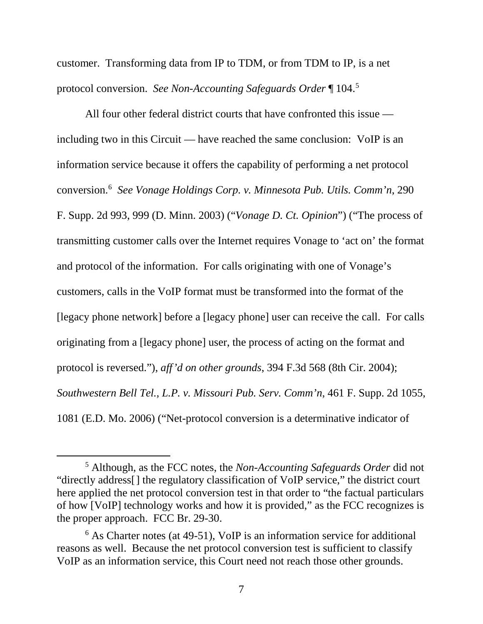customer. Transforming data from IP to TDM, or from TDM to IP, is a net protocol conversion. *See Non-Accounting Safeguards Order* ¶ 104.[5](#page-14-0)

All four other federal district courts that have confronted this issue including two in this Circuit — have reached the same conclusion: VoIP is an information service because it offers the capability of performing a net protocol conversion[.6](#page-14-1) *See Vonage Holdings Corp. v. Minnesota Pub. Utils. Comm'n*, 290 F. Supp. 2d 993, 999 (D. Minn. 2003) ("*Vonage D. Ct. Opinion*") ("The process of transmitting customer calls over the Internet requires Vonage to 'act on' the format and protocol of the information. For calls originating with one of Vonage's customers, calls in the VoIP format must be transformed into the format of the [legacy phone network] before a [legacy phone] user can receive the call. For calls originating from a [legacy phone] user, the process of acting on the format and protocol is reversed."), *aff'd on other grounds*, 394 F.3d 568 (8th Cir. 2004); *Southwestern Bell Tel., L.P. v. Missouri Pub. Serv. Comm'n*, 461 F. Supp. 2d 1055, 1081 (E.D. Mo. 2006) ("Net-protocol conversion is a determinative indicator of

<span id="page-14-0"></span> <sup>5</sup> Although, as the FCC notes, the *Non-Accounting Safeguards Order* did not "directly address[] the regulatory classification of VoIP service," the district court here applied the net protocol conversion test in that order to "the factual particulars of how [VoIP] technology works and how it is provided," as the FCC recognizes is the proper approach. FCC Br. 29-30.

<span id="page-14-1"></span><sup>&</sup>lt;sup>6</sup> As Charter notes (at 49-51), VoIP is an information service for additional reasons as well. Because the net protocol conversion test is sufficient to classify VoIP as an information service, this Court need not reach those other grounds.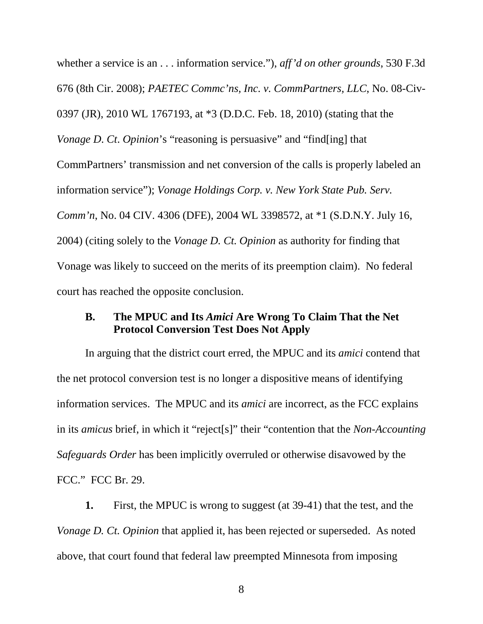whether a service is an . . . information service."), *aff'd on other grounds*, 530 F.3d 676 (8th Cir. 2008); *PAETEC Commc'ns, Inc. v. CommPartners, LLC*, No. 08-Civ-0397 (JR), 2010 WL 1767193, at \*3 (D.D.C. Feb. 18, 2010) (stating that the *Vonage D*. *Ct*. *Opinion*'s "reasoning is persuasive" and "find[ing] that CommPartners' transmission and net conversion of the calls is properly labeled an information service"); *Vonage Holdings Corp. v. New York State Pub. Serv. Comm'n*, No. 04 CIV. 4306 (DFE), 2004 WL 3398572, at \*1 (S.D.N.Y. July 16, 2004) (citing solely to the *Vonage D. Ct. Opinion* as authority for finding that Vonage was likely to succeed on the merits of its preemption claim). No federal court has reached the opposite conclusion.

## <span id="page-15-0"></span>**B. The MPUC and Its** *Amici* **Are Wrong To Claim That the Net Protocol Conversion Test Does Not Apply**

In arguing that the district court erred, the MPUC and its *amici* contend that the net protocol conversion test is no longer a dispositive means of identifying information services. The MPUC and its *amici* are incorrect, as the FCC explains in its *amicus* brief, in which it "reject[s]" their "contention that the *Non-Accounting Safeguards Order* has been implicitly overruled or otherwise disavowed by the FCC." FCC Br. 29.

**1.** First, the MPUC is wrong to suggest (at 39-41) that the test, and the *Vonage D. Ct. Opinion* that applied it, has been rejected or superseded. As noted above, that court found that federal law preempted Minnesota from imposing

8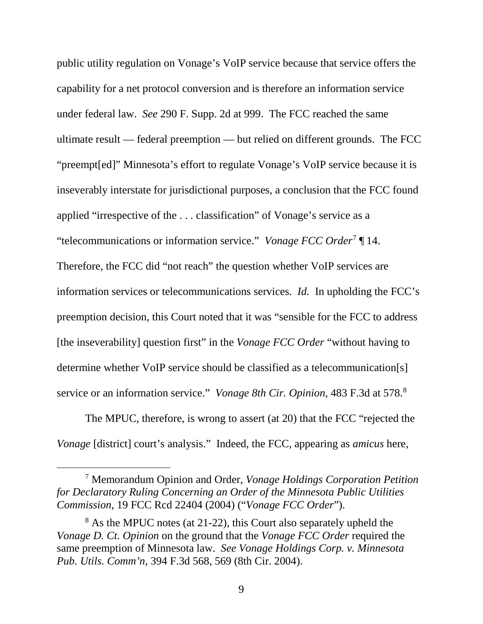public utility regulation on Vonage's VoIP service because that service offers the capability for a net protocol conversion and is therefore an information service under federal law. *See* 290 F. Supp. 2d at 999. The FCC reached the same ultimate result — federal preemption — but relied on different grounds. The FCC "preempt[ed]" Minnesota's effort to regulate Vonage's VoIP service because it is inseverably interstate for jurisdictional purposes, a conclusion that the FCC found applied "irrespective of the . . . classification" of Vonage's service as a "telecommunications or information service." *Vonage FCC Order*[7](#page-16-0) ¶ 14. Therefore, the FCC did "not reach" the question whether VoIP services are information services or telecommunications services. *Id.* In upholding the FCC's preemption decision, this Court noted that it was "sensible for the FCC to address [the inseverability] question first" in the *Vonage FCC Order* "without having to determine whether VoIP service should be classified as a telecommunication[s] service or an information service." *Vonage 8th Cir. Opinion*, 483 F.3d at 578. [8](#page-16-1)

The MPUC, therefore, is wrong to assert (at 20) that the FCC "rejected the *Vonage* [district] court's analysis." Indeed, the FCC, appearing as *amicus* here,

<span id="page-16-0"></span> 7 Memorandum Opinion and Order, *Vonage Holdings Corporation Petition for Declaratory Ruling Concerning an Order of the Minnesota Public Utilities Commission*, 19 FCC Rcd 22404 (2004) ("*Vonage FCC Order*").

<span id="page-16-1"></span><sup>&</sup>lt;sup>8</sup> As the MPUC notes (at 21-22), this Court also separately upheld the *Vonage D. Ct. Opinion* on the ground that the *Vonage FCC Order* required the same preemption of Minnesota law. *See Vonage Holdings Corp. v. Minnesota Pub. Utils. Comm'n*, 394 F.3d 568, 569 (8th Cir. 2004).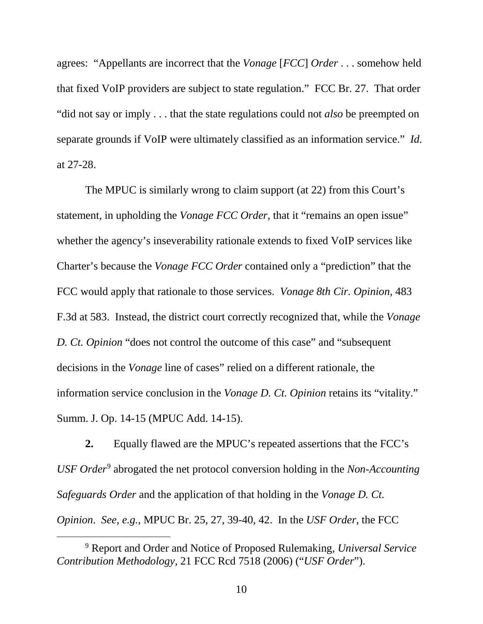agrees: "Appellants are incorrect that the *Vonage* [*FCC*] *Order* . . . somehow held that fixed VoIP providers are subject to state regulation." FCC Br. 27. That order "did not say or imply . . . that the state regulations could not *also* be preempted on separate grounds if VoIP were ultimately classified as an information service." *Id.* at 27-28.

The MPUC is similarly wrong to claim support (at 22) from this Court's statement, in upholding the *Vonage FCC Order*, that it "remains an open issue" whether the agency's inseverability rationale extends to fixed VoIP services like Charter's because the *Vonage FCC Order* contained only a "prediction" that the FCC would apply that rationale to those services. *Vonage 8th Cir. Opinion*, 483 F.3d at 583. Instead, the district court correctly recognized that, while the *Vonage D. Ct. Opinion* "does not control the outcome of this case" and "subsequent decisions in the *Vonage* line of cases" relied on a different rationale, the information service conclusion in the *Vonage D. Ct. Opinion* retains its "vitality." Summ. J. Op. 14-15 (MPUC Add. 14-15).

**2.** Equally flawed are the MPUC's repeated assertions that the FCC's *USF Order*[9](#page-17-0) abrogated the net protocol conversion holding in the *Non-Accounting Safeguards Order* and the application of that holding in the *Vonage D. Ct. Opinion*. *See*, *e.g.*, MPUC Br. 25, 27, 39-40, 42. In the *USF Order*, the FCC

<span id="page-17-0"></span> <sup>9</sup> Report and Order and Notice of Proposed Rulemaking, *Universal Service Contribution Methodology*, 21 FCC Rcd 7518 (2006) ("*USF Order*").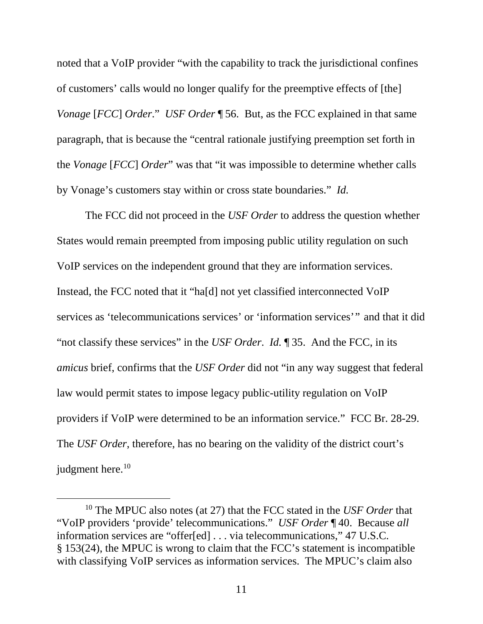noted that a VoIP provider "with the capability to track the jurisdictional confines of customers' calls would no longer qualify for the preemptive effects of [the] *Vonage* [*FCC*] *Order*." *USF Order* ¶ 56. But, as the FCC explained in that same paragraph, that is because the "central rationale justifying preemption set forth in the *Vonage* [*FCC*] *Order*" was that "it was impossible to determine whether calls by Vonage's customers stay within or cross state boundaries." *Id.*

The FCC did not proceed in the *USF Order* to address the question whether States would remain preempted from imposing public utility regulation on such VoIP services on the independent ground that they are information services. Instead, the FCC noted that it "ha[d] not yet classified interconnected VoIP services as 'telecommunications services' or 'information services'" and that it did "not classify these services" in the *USF Order*. *Id.* ¶ 35. And the FCC, in its *amicus* brief, confirms that the *USF Order* did not "in any way suggest that federal law would permit states to impose legacy public-utility regulation on VoIP providers if VoIP were determined to be an information service." FCC Br. 28-29. The *USF Order*, therefore, has no bearing on the validity of the district court's judgment here.<sup>10</sup>

<span id="page-18-0"></span> <sup>10</sup> The MPUC also notes (at 27) that the FCC stated in the *USF Order* that "VoIP providers 'provide' telecommunications." *USF Order* ¶ 40. Because *all* information services are "offer[ed] . . . via telecommunications," 47 U.S.C. § 153(24), the MPUC is wrong to claim that the FCC's statement is incompatible with classifying VoIP services as information services. The MPUC's claim also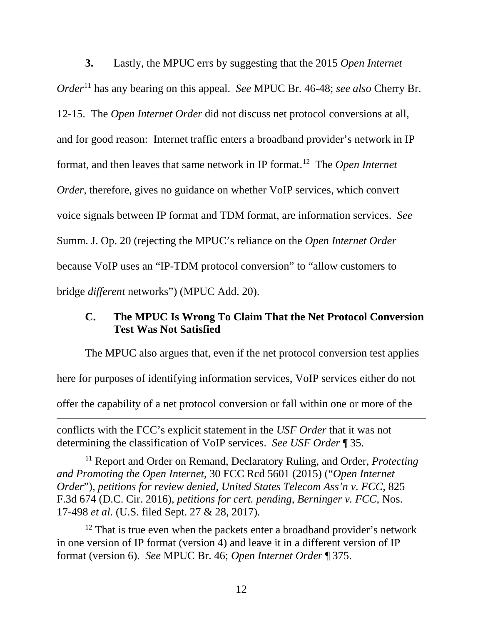**3.** Lastly, the MPUC errs by suggesting that the 2015 *Open Internet Order*[11](#page-19-1) has any bearing on this appeal. *See* MPUC Br. 46-48; *see also* Cherry Br. 12-15. The *Open Internet Order* did not discuss net protocol conversions at all, and for good reason: Internet traffic enters a broadband provider's network in IP format, and then leaves that same network in IP format. [12](#page-19-2) The *Open Internet Order*, therefore, gives no guidance on whether VoIP services, which convert voice signals between IP format and TDM format, are information services. *See*  Summ. J. Op. 20 (rejecting the MPUC's reliance on the *Open Internet Order*  because VoIP uses an "IP-TDM protocol conversion" to "allow customers to bridge *different* networks") (MPUC Add. 20).

## <span id="page-19-0"></span>**C. The MPUC Is Wrong To Claim That the Net Protocol Conversion Test Was Not Satisfied**

The MPUC also argues that, even if the net protocol conversion test applies here for purposes of identifying information services, VoIP services either do not offer the capability of a net protocol conversion or fall within one or more of the  $\overline{a}$ 

conflicts with the FCC's explicit statement in the *USF Order* that it was not determining the classification of VoIP services. *See USF Order* ¶ 35.

<span id="page-19-1"></span><sup>11</sup> Report and Order on Remand, Declaratory Ruling, and Order, *Protecting and Promoting the Open Internet*, 30 FCC Rcd 5601 (2015) ("*Open Internet Order*"), *petitions for review denied*, *United States Telecom Ass'n v. FCC*, 825 F.3d 674 (D.C. Cir. 2016), *petitions for cert. pending*, *Berninger v. FCC*, Nos. 17-498 *et al.* (U.S. filed Sept. 27 & 28, 2017).

<span id="page-19-2"></span> $12$  That is true even when the packets enter a broadband provider's network in one version of IP format (version 4) and leave it in a different version of IP format (version 6). *See* MPUC Br. 46; *Open Internet Order* ¶ 375.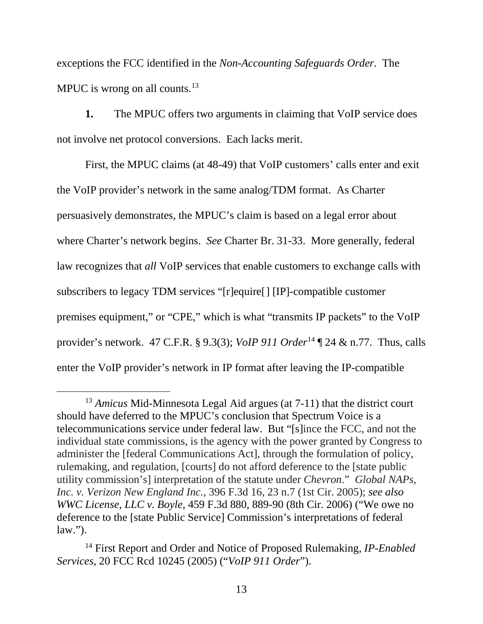exceptions the FCC identified in the *Non-Accounting Safeguards Order*. The MPUC is wrong on all counts.<sup>[13](#page-20-0)</sup>

**1.** The MPUC offers two arguments in claiming that VoIP service does not involve net protocol conversions. Each lacks merit.

First, the MPUC claims (at 48-49) that VoIP customers' calls enter and exit the VoIP provider's network in the same analog/TDM format. As Charter persuasively demonstrates, the MPUC's claim is based on a legal error about where Charter's network begins. *See* Charter Br. 31-33. More generally, federal law recognizes that *all* VoIP services that enable customers to exchange calls with subscribers to legacy TDM services "[r]equire[] [IP]-compatible customer premises equipment," or "CPE," which is what "transmits IP packets" to the VoIP provider's network. 47 C.F.R. § 9.3(3); *VoIP 911 Order*[14](#page-20-1) ¶ 24 & n.77. Thus, calls enter the VoIP provider's network in IP format after leaving the IP-compatible

<span id="page-20-0"></span><sup>&</sup>lt;sup>13</sup> *Amicus* Mid-Minnesota Legal Aid argues (at 7-11) that the district court should have deferred to the MPUC's conclusion that Spectrum Voice is a telecommunications service under federal law. But "[s]ince the FCC, and not the individual state commissions, is the agency with the power granted by Congress to administer the [federal Communications Act], through the formulation of policy, rulemaking, and regulation, [courts] do not afford deference to the [state public utility commission's] interpretation of the statute under *Chevron*." *Global NAPs, Inc. v. Verizon New England Inc.*, 396 F.3d 16, 23 n.7 (1st Cir. 2005); *see also WWC License, LLC v. Boyle*, 459 F.3d 880, 889-90 (8th Cir. 2006) ("We owe no deference to the [state Public Service] Commission's interpretations of federal  $law.'$ ).

<span id="page-20-1"></span><sup>14</sup> First Report and Order and Notice of Proposed Rulemaking, *IP-Enabled Services*, 20 FCC Rcd 10245 (2005) ("*VoIP 911 Order*").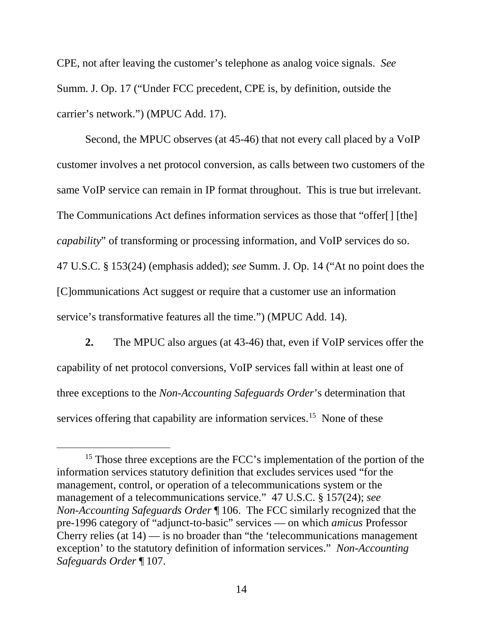CPE, not after leaving the customer's telephone as analog voice signals. *See*  Summ. J. Op. 17 ("Under FCC precedent, CPE is, by definition, outside the carrier's network.") (MPUC Add. 17).

Second, the MPUC observes (at 45-46) that not every call placed by a VoIP customer involves a net protocol conversion, as calls between two customers of the same VoIP service can remain in IP format throughout. This is true but irrelevant. The Communications Act defines information services as those that "offer[] [the] *capability*" of transforming or processing information, and VoIP services do so. 47 U.S.C. § 153(24) (emphasis added); *see* Summ. J. Op. 14 ("At no point does the [C]ommunications Act suggest or require that a customer use an information service's transformative features all the time.") (MPUC Add. 14).

**2.** The MPUC also argues (at 43-46) that, even if VoIP services offer the capability of net protocol conversions, VoIP services fall within at least one of three exceptions to the *Non-Accounting Safeguards Order*'s determination that services offering that capability are information services.<sup>[15](#page-21-0)</sup> None of these

<span id="page-21-0"></span><sup>&</sup>lt;sup>15</sup> Those three exceptions are the FCC's implementation of the portion of the information services statutory definition that excludes services used "for the management, control, or operation of a telecommunications system or the management of a telecommunications service." 47 U.S.C. § 157(24); *see Non-Accounting Safeguards Order* ¶ 106. The FCC similarly recognized that the pre-1996 category of "adjunct-to-basic" services — on which *amicus* Professor Cherry relies (at  $14$ ) — is no broader than "the 'telecommunications management exception' to the statutory definition of information services." *Non-Accounting Safeguards Order* ¶ 107.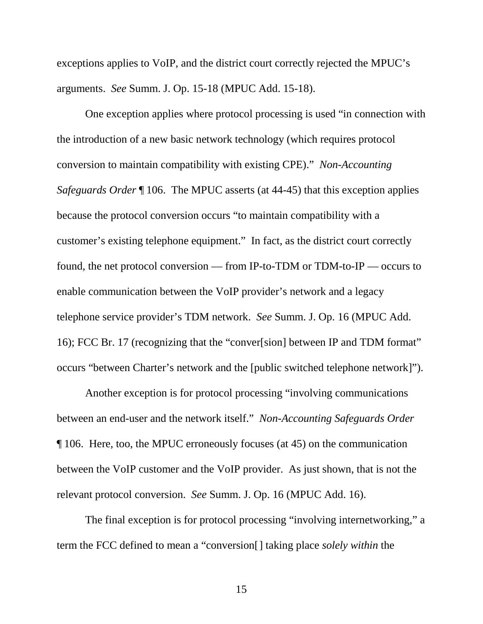exceptions applies to VoIP, and the district court correctly rejected the MPUC's arguments. *See* Summ. J. Op. 15-18 (MPUC Add. 15-18).

One exception applies where protocol processing is used "in connection with the introduction of a new basic network technology (which requires protocol conversion to maintain compatibility with existing CPE)." *Non-Accounting Safeguards Order* ¶ 106. The MPUC asserts (at 44-45) that this exception applies because the protocol conversion occurs "to maintain compatibility with a customer's existing telephone equipment." In fact, as the district court correctly found, the net protocol conversion — from IP-to-TDM or TDM-to-IP — occurs to enable communication between the VoIP provider's network and a legacy telephone service provider's TDM network. *See* Summ. J. Op. 16 (MPUC Add. 16); FCC Br. 17 (recognizing that the "conver[sion] between IP and TDM format" occurs "between Charter's network and the [public switched telephone network]").

Another exception is for protocol processing "involving communications between an end-user and the network itself." *Non-Accounting Safeguards Order* ¶ 106. Here, too, the MPUC erroneously focuses (at 45) on the communication between the VoIP customer and the VoIP provider. As just shown, that is not the relevant protocol conversion. *See* Summ. J. Op. 16 (MPUC Add. 16).

The final exception is for protocol processing "involving internetworking," a term the FCC defined to mean a "conversion[] taking place *solely within* the

15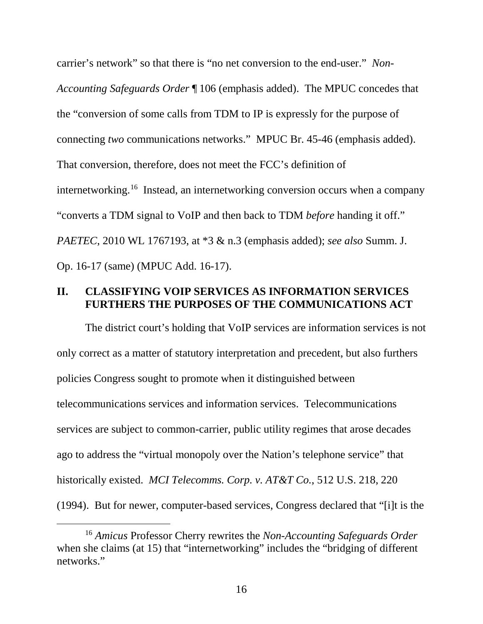carrier's network" so that there is "no net conversion to the end-user." *Non-Accounting Safeguards Order* ¶ 106 (emphasis added). The MPUC concedes that the "conversion of some calls from TDM to IP is expressly for the purpose of connecting *two* communications networks." MPUC Br. 45-46 (emphasis added). That conversion, therefore, does not meet the FCC's definition of internetworking[.16](#page-23-1) Instead, an internetworking conversion occurs when a company "converts a TDM signal to VoIP and then back to TDM *before* handing it off." *PAETEC*, 2010 WL 1767193, at \*3 & n.3 (emphasis added); *see also* Summ. J. Op. 16-17 (same) (MPUC Add. 16-17).

## <span id="page-23-0"></span>**II. CLASSIFYING VOIP SERVICES AS INFORMATION SERVICES FURTHERS THE PURPOSES OF THE COMMUNICATIONS ACT**

The district court's holding that VoIP services are information services is not only correct as a matter of statutory interpretation and precedent, but also furthers policies Congress sought to promote when it distinguished between telecommunications services and information services. Telecommunications services are subject to common-carrier, public utility regimes that arose decades ago to address the "virtual monopoly over the Nation's telephone service" that historically existed. *MCI Telecomms. Corp. v. AT&T Co.*, 512 U.S. 218, 220 (1994). But for newer, computer-based services, Congress declared that "[i]t is the

<span id="page-23-1"></span> <sup>16</sup> *Amicus* Professor Cherry rewrites the *Non-Accounting Safeguards Order* when she claims (at 15) that "internetworking" includes the "bridging of different networks."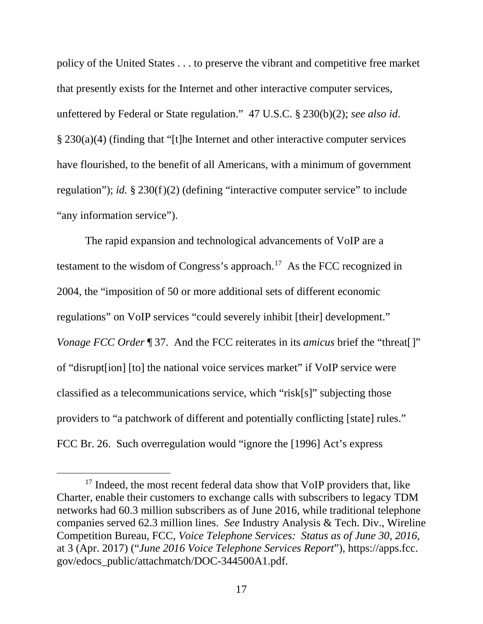policy of the United States . . . to preserve the vibrant and competitive free market that presently exists for the Internet and other interactive computer services, unfettered by Federal or State regulation." 47 U.S.C. § 230(b)(2); *see also id*. § 230(a)(4) (finding that "[t]he Internet and other interactive computer services have flourished, to the benefit of all Americans, with a minimum of government regulation"); *id.* § 230(f)(2) (defining "interactive computer service" to include "any information service").

The rapid expansion and technological advancements of VoIP are a testament to the wisdom of Congress's approach.<sup>[17](#page-24-0)</sup> As the FCC recognized in 2004, the "imposition of 50 or more additional sets of different economic regulations" on VoIP services "could severely inhibit [their] development." *Vonage FCC Order* 197. And the FCC reiterates in its *amicus* brief the "threat..." of "disrupt[ion] [to] the national voice services market" if VoIP service were classified as a telecommunications service, which "risk[s]" subjecting those providers to "a patchwork of different and potentially conflicting [state] rules." FCC Br. 26. Such overregulation would "ignore the [1996] Act's express

<span id="page-24-0"></span><sup>&</sup>lt;sup>17</sup> Indeed, the most recent federal data show that VoIP providers that, like Charter, enable their customers to exchange calls with subscribers to legacy TDM networks had 60.3 million subscribers as of June 2016, while traditional telephone companies served 62.3 million lines. *See* Industry Analysis & Tech. Div., Wireline Competition Bureau, FCC, *Voice Telephone Services: Status as of June 30, 2016*, at 3 (Apr. 2017) ("*June 2016 Voice Telephone Services Report*"), https://apps.fcc. gov/edocs\_public/attachmatch/DOC-344500A1.pdf.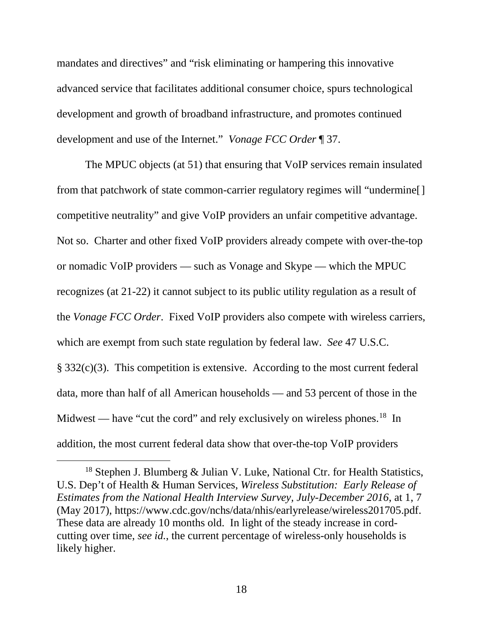mandates and directives" and "risk eliminating or hampering this innovative advanced service that facilitates additional consumer choice, spurs technological development and growth of broadband infrastructure, and promotes continued development and use of the Internet." *Vonage FCC Order* ¶ 37.

The MPUC objects (at 51) that ensuring that VoIP services remain insulated from that patchwork of state common-carrier regulatory regimes will "undermine[] competitive neutrality" and give VoIP providers an unfair competitive advantage. Not so. Charter and other fixed VoIP providers already compete with over-the-top or nomadic VoIP providers — such as Vonage and Skype — which the MPUC recognizes (at 21-22) it cannot subject to its public utility regulation as a result of the *Vonage FCC Order*. Fixed VoIP providers also compete with wireless carriers, which are exempt from such state regulation by federal law. *See* 47 U.S.C. § 332(c)(3). This competition is extensive. According to the most current federal data, more than half of all American households — and 53 percent of those in the Midwest — have "cut the cord" and rely exclusively on wireless phones.<sup>[18](#page-25-0)</sup> In addition, the most current federal data show that over-the-top VoIP providers

<span id="page-25-0"></span><sup>&</sup>lt;sup>18</sup> Stephen J. Blumberg & Julian V. Luke, National Ctr. for Health Statistics, U.S. Dep't of Health & Human Services, *Wireless Substitution: Early Release of Estimates from the National Health Interview Survey, July-December 2016*, at 1, 7 (May 2017), https://www.cdc.gov/nchs/data/nhis/earlyrelease/wireless201705.pdf. These data are already 10 months old. In light of the steady increase in cordcutting over time, *see id.*, the current percentage of wireless-only households is likely higher.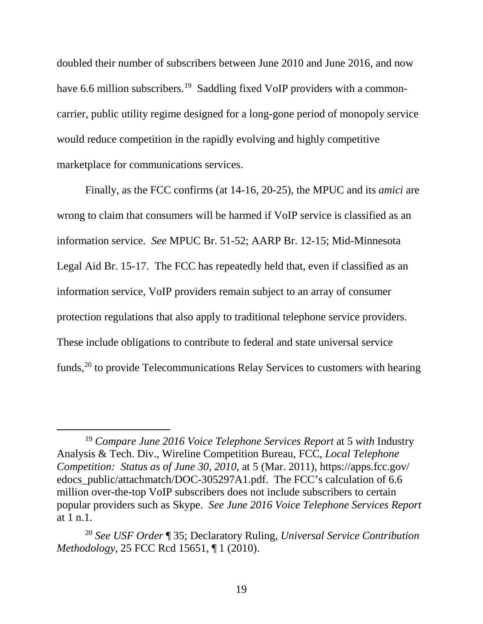doubled their number of subscribers between June 2010 and June 2016, and now have 6.6 million subscribers.<sup>[19](#page-26-0)</sup> Saddling fixed VoIP providers with a commoncarrier, public utility regime designed for a long-gone period of monopoly service would reduce competition in the rapidly evolving and highly competitive marketplace for communications services.

Finally, as the FCC confirms (at 14-16, 20-25), the MPUC and its *amici* are wrong to claim that consumers will be harmed if VoIP service is classified as an information service. *See* MPUC Br. 51-52; AARP Br. 12-15; Mid-Minnesota Legal Aid Br. 15-17. The FCC has repeatedly held that, even if classified as an information service, VoIP providers remain subject to an array of consumer protection regulations that also apply to traditional telephone service providers. These include obligations to contribute to federal and state universal service funds,<sup>[20](#page-26-1)</sup> to provide Telecommunications Relay Services to customers with hearing

<span id="page-26-0"></span> <sup>19</sup> *Compare June 2016 Voice Telephone Services Report* at 5 *with* Industry Analysis & Tech. Div., Wireline Competition Bureau, FCC, *Local Telephone Competition: Status as of June 30, 2010*, at 5 (Mar. 2011), https://apps.fcc.gov/ edocs\_public/attachmatch/DOC-305297A1.pdf. The FCC's calculation of 6.6 million over-the-top VoIP subscribers does not include subscribers to certain popular providers such as Skype. *See June 2016 Voice Telephone Services Report*  at 1 n.1.

<span id="page-26-1"></span><sup>20</sup> *See USF Order* ¶ 35; Declaratory Ruling, *Universal Service Contribution Methodology*, 25 FCC Rcd 15651, ¶ 1 (2010).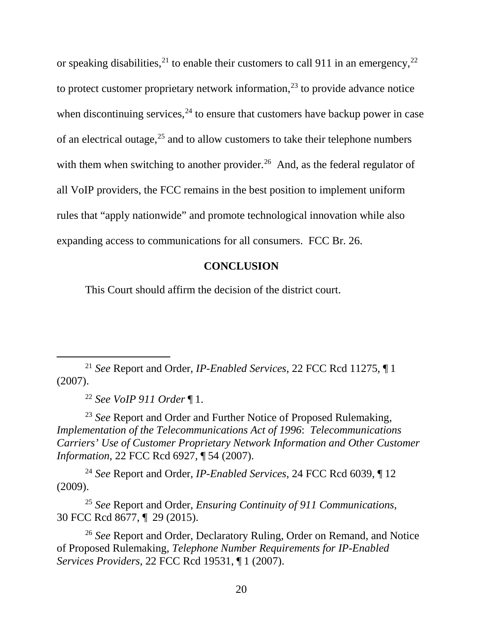or speaking disabilities,<sup>[21](#page-27-1)</sup> to enable their customers to call 911 in an emergency,<sup>[22](#page-27-2)</sup> to protect customer proprietary network information,  $2<sup>3</sup>$  to provide advance notice when discontinuing services,  $24$  to ensure that customers have backup power in case of an electrical outage,  $25$  and to allow customers to take their telephone numbers with them when switching to another provider.<sup>[26](#page-27-6)</sup> And, as the federal regulator of all VoIP providers, the FCC remains in the best position to implement uniform rules that "apply nationwide" and promote technological innovation while also expanding access to communications for all consumers. FCC Br. 26.

## **CONCLUSION**

<span id="page-27-0"></span>This Court should affirm the decision of the district court.

<span id="page-27-1"></span> 21 *See* Report and Order, *IP-Enabled Services*, 22 FCC Rcd 11275, ¶ <sup>1</sup> (2007).

<sup>22</sup> *See VoIP 911 Order* ¶ 1.

<span id="page-27-3"></span><span id="page-27-2"></span><sup>23</sup> *See* Report and Order and Further Notice of Proposed Rulemaking, *Implementation of the Telecommunications Act of 1996*: *Telecommunications Carriers' Use of Customer Proprietary Network Information and Other Customer Information*, 22 FCC Rcd 6927, ¶ 54 (2007).

<span id="page-27-4"></span><sup>24</sup> *See* Report and Order, *IP-Enabled Services*, 24 FCC Rcd 6039, ¶ 12 (2009).

<span id="page-27-5"></span><sup>25</sup> *See* Report and Order, *Ensuring Continuity of 911 Communications*, 30 FCC Rcd 8677, ¶ 29 (2015).

<span id="page-27-6"></span><sup>26</sup> *See* Report and Order, Declaratory Ruling, Order on Remand, and Notice of Proposed Rulemaking, *Telephone Number Requirements for IP-Enabled Services Providers*, 22 FCC Rcd 19531, ¶ 1 (2007).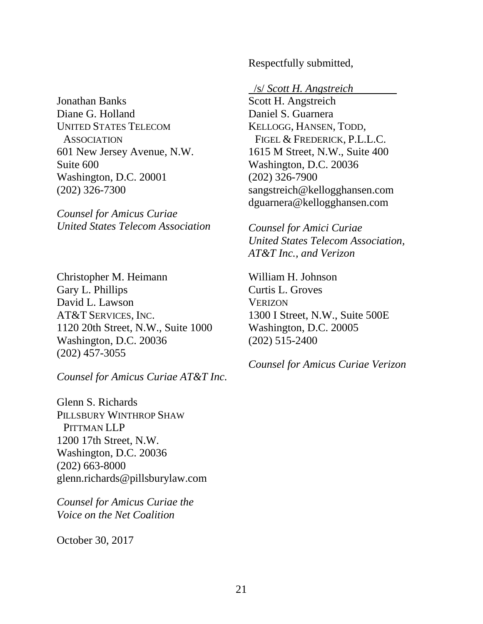Respectfully submitted,

## Jonathan Banks Diane G. Holland UNITED STATES TELECOM **ASSOCIATION** 601 New Jersey Avenue, N.W. Suite 600 Washington, D.C. 20001 (202) 326-7300

*Counsel for Amicus Curiae United States Telecom Association*

Christopher M. Heimann Gary L. Phillips David L. Lawson AT&T SERVICES, INC. 1120 20th Street, N.W., Suite 1000 Washington, D.C. 20036 (202) 457-3055

*Counsel for Amicus Curiae AT&T Inc.*

Glenn S. Richards PILLSBURY WINTHROP SHAW PITTMAN LLP 1200 17th Street, N.W. Washington, D.C. 20036 (202) 663-8000 glenn.richards@pillsburylaw.com

*Counsel for Amicus Curiae the Voice on the Net Coalition*

October 30, 2017

/s/ *Scott H. Angstreich*

Scott H. Angstreich Daniel S. Guarnera KELLOGG, HANSEN, TODD, FIGEL & FREDERICK, P.L.L.C. 1615 M Street, N.W., Suite 400 Washington, D.C. 20036 (202) 326-7900 sangstreich@kellogghansen.com dguarnera@kellogghansen.com

*Counsel for Amici Curiae United States Telecom Association, AT&T Inc., and Verizon*

William H. Johnson Curtis L. Groves **VERIZON** 1300 I Street, N.W., Suite 500E Washington, D.C. 20005 (202) 515-2400

*Counsel for Amicus Curiae Verizon*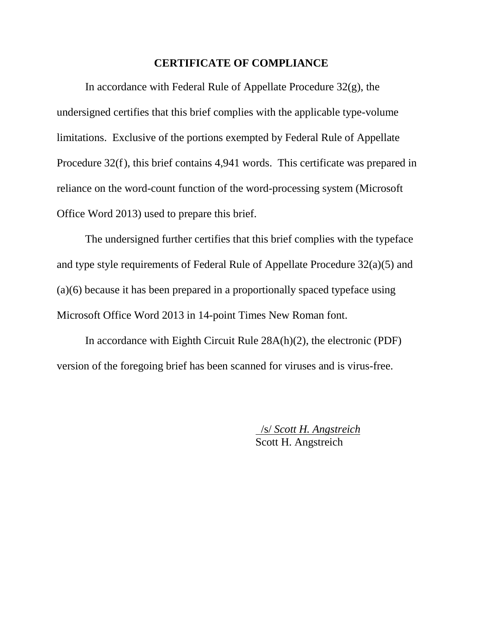### **CERTIFICATE OF COMPLIANCE**

In accordance with Federal Rule of Appellate Procedure 32(g), the undersigned certifies that this brief complies with the applicable type-volume limitations. Exclusive of the portions exempted by Federal Rule of Appellate Procedure 32(f), this brief contains 4,941 words. This certificate was prepared in reliance on the word-count function of the word-processing system (Microsoft Office Word 2013) used to prepare this brief.

The undersigned further certifies that this brief complies with the typeface and type style requirements of Federal Rule of Appellate Procedure 32(a)(5) and (a)(6) because it has been prepared in a proportionally spaced typeface using Microsoft Office Word 2013 in 14-point Times New Roman font.

In accordance with Eighth Circuit Rule 28A(h)(2), the electronic (PDF) version of the foregoing brief has been scanned for viruses and is virus-free.

> /s/ *Scott H. Angstreich* Scott H. Angstreich